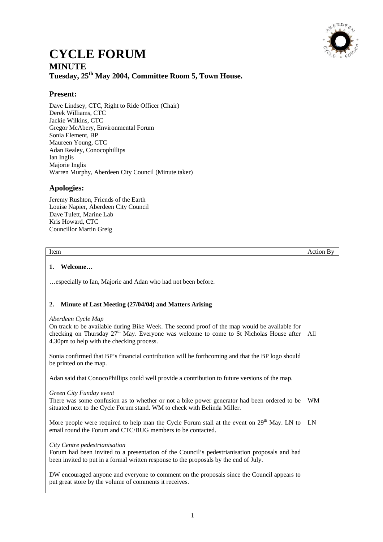

## **CYCLE FORUM MINUTE Tuesday, 25th May 2004, Committee Room 5, Town House.**

## **Present:**

Dave Lindsey, CTC, Right to Ride Officer (Chair) Derek Williams, CTC Jackie Wilkins, CTC Gregor McAbery, Environmental Forum Sonia Element, BP Maureen Young, CTC Adan Realey, Conocophillips Ian Inglis Majorie Inglis Warren Murphy, Aberdeen City Council (Minute taker)

## **Apologies:**

Jeremy Rushton, Friends of the Earth Louise Napier, Aberdeen City Council Dave Tulett, Marine Lab Kris Howard, CTC Councillor Martin Greig

| Item                                                                                                                                                                                                                                                         | Action By |
|--------------------------------------------------------------------------------------------------------------------------------------------------------------------------------------------------------------------------------------------------------------|-----------|
| Welcome<br>1.<br>especially to Ian, Majorie and Adan who had not been before.                                                                                                                                                                                |           |
| Minute of Last Meeting (27/04/04) and Matters Arising<br>2.                                                                                                                                                                                                  |           |
| Aberdeen Cycle Map<br>On track to be available during Bike Week. The second proof of the map would be available for<br>checking on Thursday $27th$ May. Everyone was welcome to come to St Nicholas House after<br>4.30pm to help with the checking process. | All       |
| Sonia confirmed that BP's financial contribution will be forthcoming and that the BP logo should<br>be printed on the map.                                                                                                                                   |           |
| Adan said that ConocoPhillips could well provide a contribution to future versions of the map.                                                                                                                                                               |           |
| Green City Funday event<br>There was some confusion as to whether or not a bike power generator had been ordered to be<br>situated next to the Cycle Forum stand. WM to check with Belinda Miller.                                                           | <b>WM</b> |
| More people were required to help man the Cycle Forum stall at the event on 29 <sup>th</sup> May. LN to<br>email round the Forum and CTC/BUG members to be contacted.                                                                                        | LN        |
| City Centre pedestrianisation<br>Forum had been invited to a presentation of the Council's pedestrianisation proposals and had<br>been invited to put in a formal written response to the proposals by the end of July.                                      |           |
| DW encouraged anyone and everyone to comment on the proposals since the Council appears to<br>put great store by the volume of comments it receives.                                                                                                         |           |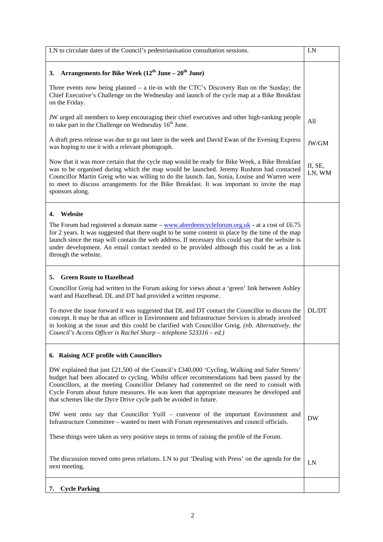| LN to circulate dates of the Council's pedestrianisation consultation sessions.                                                                                                                                                                                                                                                                                                                                                                                                                 | LN                |
|-------------------------------------------------------------------------------------------------------------------------------------------------------------------------------------------------------------------------------------------------------------------------------------------------------------------------------------------------------------------------------------------------------------------------------------------------------------------------------------------------|-------------------|
| Arrangements for Bike Week $(12^{th}$ June – $20^{th}$ June)<br><b>3.</b>                                                                                                                                                                                                                                                                                                                                                                                                                       |                   |
| Three events now being planned $-$ a tie-in with the CTC's Discovery Run on the Sunday; the<br>Chief Executive's Challenge on the Wednesday and launch of the cycle map at a Bike Breakfast<br>on the Friday.                                                                                                                                                                                                                                                                                   |                   |
| JW urged all members to keep encouraging their chief executives and other high-ranking people<br>to take part in the Challenge on Wednesday 16 <sup>th</sup> June.                                                                                                                                                                                                                                                                                                                              | All               |
| A draft press release was due to go out later in the week and David Ewan of the Evening Express<br>was hoping to use it with a relevant photograph.                                                                                                                                                                                                                                                                                                                                             | JW/GM             |
| Now that it was more certain that the cycle map would be ready for Bike Week, a Bike Breakfast<br>was to be organised during which the map would be launched. Jeremy Rushton had contacted<br>Councillor Martin Greig who was willing to do the launch. Ian, Sonia, Louise and Warren were<br>to meet to discuss arrangements for the Bike Breakfast. It was important to invite the map<br>sponsors along.                                                                                     | II, SE,<br>LN, WM |
| Website<br>4.                                                                                                                                                                                                                                                                                                                                                                                                                                                                                   |                   |
| The Forum had registered a domain name $-\frac{www.aberdeencycleformula(x_1, x_2, x_3, x_4)}{www.aberdeencycleformula(x_1, x_2, x_3, x_4)}$ at a cost of £6.75<br>for 2 years. It was suggested that there ought to be some content in place by the time of the map<br>launch since the map will contain the web address. If necessary this could say that the website is<br>under development. An email contact needed to be provided although this could be as a link<br>through the website. |                   |
| <b>Green Route to Hazelhead</b><br>5.                                                                                                                                                                                                                                                                                                                                                                                                                                                           |                   |
| Councillor Greig had written to the Forum asking for views about a 'green' link between Ashley<br>ward and Hazelhead. DL and DT had provided a written response.                                                                                                                                                                                                                                                                                                                                |                   |
| To move the issue forward it was suggested that DL and DT contact the Councillor to discuss the<br>concept. It may be that an officer in Environment and Infrastructure Services is already involved<br>in looking at the issue and this could be clarified with Councillor Greig. (nb. Alternatively, the<br>Council's Access Officer is Rachel Sharp – telephone 523316 – ed.)                                                                                                                | DL/DT             |
| 6. Raising ACF profile with Councillors                                                                                                                                                                                                                                                                                                                                                                                                                                                         |                   |
| DW explained that just £21,500 of the Council's £340,000 'Cycling, Walking and Safer Streets'<br>budget had been allocated to cycling. Whilst officer recommendations had been passed by the<br>Councillors, at the meeting Councillor Delaney had commented on the need to consult with<br>Cycle Forum about future measures. He was keen that appropriate measures be developed and<br>that schemes like the Dyce Drive cycle path be avoided in future.                                      |                   |
| DW went onto say that Councillor Yuill – convenor of the important Environment and<br>Infrastructure Committee – wanted to meet with Forum representatives and council officials.                                                                                                                                                                                                                                                                                                               | <b>DW</b>         |
| These things were taken as very positive steps in terms of raising the profile of the Forum.                                                                                                                                                                                                                                                                                                                                                                                                    |                   |
| The discussion moved onto press relations. LN to put 'Dealing with Press' on the agenda for the<br>next meeting.                                                                                                                                                                                                                                                                                                                                                                                | LN                |
| 7. Cycle Parking                                                                                                                                                                                                                                                                                                                                                                                                                                                                                |                   |